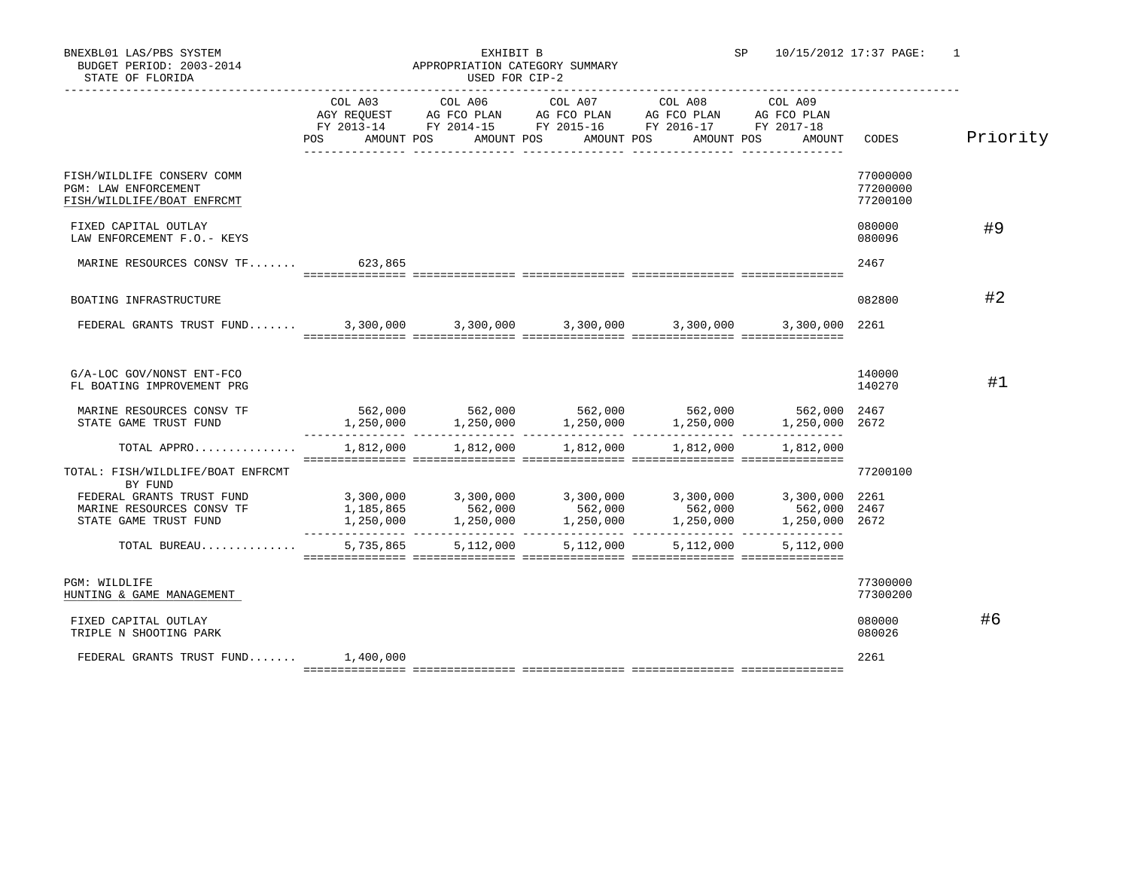| STATE OF FLORIDA                                                                           |                               | USED FOR CIP-2                                                                                                        |           |                     |                                                                                                                                                                                                                                                                                                                                         |                                  |          |
|--------------------------------------------------------------------------------------------|-------------------------------|-----------------------------------------------------------------------------------------------------------------------|-----------|---------------------|-----------------------------------------------------------------------------------------------------------------------------------------------------------------------------------------------------------------------------------------------------------------------------------------------------------------------------------------|----------------------------------|----------|
|                                                                                            | COL A03<br>AGY REOUEST<br>POS | AG FCO PLAN AG FCO PLAN<br>FY 2013-14 FY 2014-15 FY 2015-16 FY 2016-17 FY 2017-18<br>AMOUNT POS AMOUNT POS AMOUNT POS |           | AG FCO PLAN         | AG FCO PLAN<br>AMOUNT POS<br>AMOUNT                                                                                                                                                                                                                                                                                                     | CODES                            | Priority |
| FISH/WILDLIFE CONSERV COMM<br>PGM: LAW ENFORCEMENT<br>FISH/WILDLIFE/BOAT ENFRCMT           |                               |                                                                                                                       |           |                     |                                                                                                                                                                                                                                                                                                                                         | 77000000<br>77200000<br>77200100 |          |
| FIXED CAPITAL OUTLAY<br>LAW ENFORCEMENT F.O. - KEYS                                        |                               |                                                                                                                       |           |                     |                                                                                                                                                                                                                                                                                                                                         | 080000<br>080096                 | #9       |
| MARINE RESOURCES CONSV $TF$ 623,865                                                        |                               |                                                                                                                       |           |                     |                                                                                                                                                                                                                                                                                                                                         | 2467                             |          |
| BOATING INFRASTRUCTURE                                                                     |                               |                                                                                                                       |           |                     |                                                                                                                                                                                                                                                                                                                                         | 082800                           | #2       |
| FEDERAL GRANTS TRUST FUND 3,300,000 3,300,000 3,300,000 3,300,000 3,300,000 3,300,000 2261 |                               |                                                                                                                       |           |                     |                                                                                                                                                                                                                                                                                                                                         |                                  |          |
| G/A-LOC GOV/NONST ENT-FCO<br>FL BOATING IMPROVEMENT PRG                                    |                               |                                                                                                                       |           |                     |                                                                                                                                                                                                                                                                                                                                         | 140000<br>140270                 | #1       |
| MARINE RESOURCES CONSV TF<br>STATE GAME TRUST FUND                                         |                               |                                                                                                                       |           |                     | $\begin{array}{cccccccc} 562,000 & & & 562,000 & & & 562,000 & & & 562,000 & & & 562,000 & & & 562,000 & & & 562,000 & & & 562,000 & & & 562,000 & & & 562,000 & & & 562,000 & & & 562,000 & & & 562,000 & & & 562,000 & & & 562,000 & & & 562,000 & & & 562,000 & & & 562,000 & & & 562,000 & & & 56$                                  |                                  |          |
| TOTAL APPRO                                                                                | 1,812,000                     | 1,812,000                                                                                                             | 1,812,000 | 1,812,000           | 1,812,000                                                                                                                                                                                                                                                                                                                               |                                  |          |
| TOTAL: FISH/WILDLIFE/BOAT ENFRCMT<br>BY FUND                                               |                               |                                                                                                                       |           |                     |                                                                                                                                                                                                                                                                                                                                         | 77200100                         |          |
| FEDERAL GRANTS TRUST FUND<br>MARINE RESOURCES CONSV TF<br>STATE GAME TRUST FUND            | 1,185,865                     |                                                                                                                       |           |                     | $\begin{array}{cccccccc} 3\, , 300\, , 000 & 3\, , 300\, , 000 & 3\, , 300\, , 000 & 3\, , 300\, , 000 & 3\, , 300\, , 000 & 3\, , 300\, , 000 \\ 1\, , 185\, , 865 & 562\, , 000 & 562\, , 000 & 562\, , 000 & 562\, , 000 \\ 1\, , 250\, , 000 & 1\, , 250\, , 000 & 1\, , 250\,$<br>3,300,000 2261<br>562,000 2467<br>1,250,000 2672 |                                  |          |
| TOTAL BUREAU                                                                               |                               | 5,735,865 5,112,000                                                                                                   |           | 5,112,000 5,112,000 | 5,112,000                                                                                                                                                                                                                                                                                                                               |                                  |          |
| PGM: WILDLIFE<br>HUNTING & GAME MANAGEMENT                                                 |                               |                                                                                                                       |           |                     |                                                                                                                                                                                                                                                                                                                                         | 77300000<br>77300200             |          |
| FIXED CAPITAL OUTLAY<br>TRIPLE N SHOOTING PARK                                             |                               |                                                                                                                       |           |                     |                                                                                                                                                                                                                                                                                                                                         | 080000<br>080026                 | #6       |
| FEDERAL GRANTS TRUST FUND $1.400.000$                                                      |                               |                                                                                                                       |           |                     |                                                                                                                                                                                                                                                                                                                                         | 2261                             |          |

=============== =============== =============== =============== ===============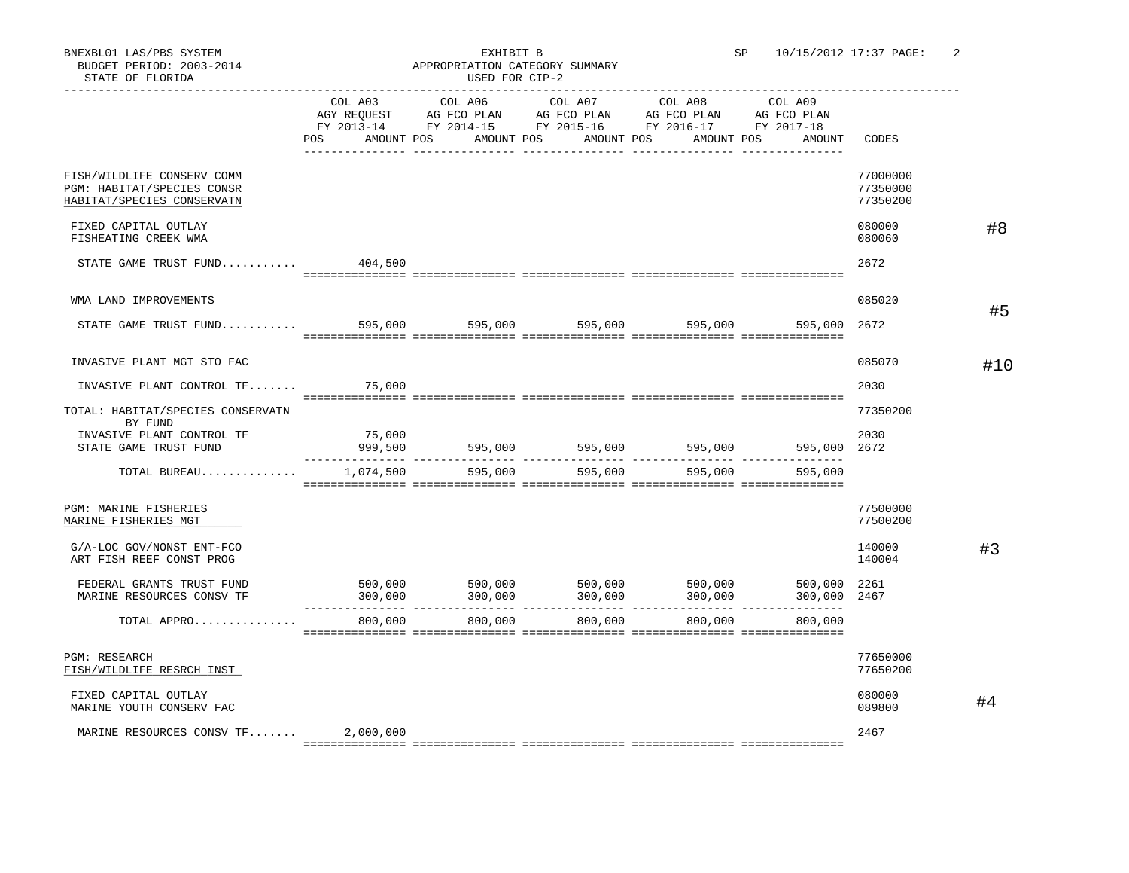|                                                                                        | COL A03   |                       | AGY REQUEST AG FCO PLAN AG FCO PLAN AG FCO PLAN AG FCO PLAN |              | COL A09                      |                                  |     |
|----------------------------------------------------------------------------------------|-----------|-----------------------|-------------------------------------------------------------|--------------|------------------------------|----------------------------------|-----|
|                                                                                        |           |                       | FY 2013-14 FY 2014-15 FY 2015-16 FY 2016-17 FY 2017-18      |              |                              |                                  |     |
|                                                                                        | POS       | AMOUNT POS AMOUNT POS | AMOUNT POS                                                  | AMOUNT POS   | AMOUNT                       | CODES                            |     |
| FISH/WILDLIFE CONSERV COMM<br>PGM: HABITAT/SPECIES CONSR<br>HABITAT/SPECIES CONSERVATN |           |                       |                                                             |              |                              | 77000000<br>77350000<br>77350200 |     |
| FIXED CAPITAL OUTLAY<br>FISHEATING CREEK WMA                                           |           |                       |                                                             |              |                              | 080000<br>080060                 | #8  |
| STATE GAME TRUST FUND $404,500$                                                        |           |                       |                                                             |              |                              | 2672                             |     |
| WMA LAND IMPROVEMENTS                                                                  |           |                       |                                                             |              |                              | 085020                           |     |
| STATE GAME TRUST FUND 595,000 595,000 595,000 595,000 595,000                          |           |                       |                                                             |              | 595,000                      | 2672                             | #5  |
| INVASIVE PLANT MGT STO FAC                                                             |           |                       |                                                             |              |                              | 085070                           | #10 |
| INVASIVE PLANT CONTROL TF                                                              | 75,000    |                       |                                                             |              |                              | 2030                             |     |
| TOTAL: HABITAT/SPECIES CONSERVATN<br>BY FUND                                           |           |                       |                                                             |              |                              | 77350200                         |     |
| INVASIVE PLANT CONTROL TF<br>STATE GAME TRUST FUND                                     | 75,000    |                       |                                                             |              | 595,000 2672                 | 2030                             |     |
| TOTAL BUREAU                                                                           | 1,074,500 |                       | 595,000 595,000                                             | 595,000      | 595,000                      |                                  |     |
| PGM: MARINE FISHERIES<br>MARINE FISHERIES MGT                                          |           |                       |                                                             |              |                              | 77500000<br>77500200             |     |
| G/A-LOC GOV/NONST ENT-FCO<br>ART FISH REEF CONST PROG                                  |           |                       |                                                             |              |                              | 140000<br>140004                 | #3  |
| FEDERAL GRANTS TRUST FUND<br>MARINE RESOURCES CONSV TF                                 | 300,000   |                       |                                                             | ------------ | 500,000 2261<br>300,000 2467 |                                  |     |
| TOTAL APPRO                                                                            | 800,000   | 800,000               | 800,000                                                     | 800,000      | 800,000                      |                                  |     |
| <b>PGM: RESEARCH</b><br>FISH/WILDLIFE RESRCH INST                                      |           |                       |                                                             |              |                              | 77650000<br>77650200             |     |
| FIXED CAPITAL OUTLAY<br>MARINE YOUTH CONSERV FAC                                       |           |                       |                                                             |              |                              | 080000<br>089800                 | #4  |
| MARINE RESOURCES CONSV $TF$ 2,000,000                                                  |           |                       |                                                             |              |                              | 2467                             |     |